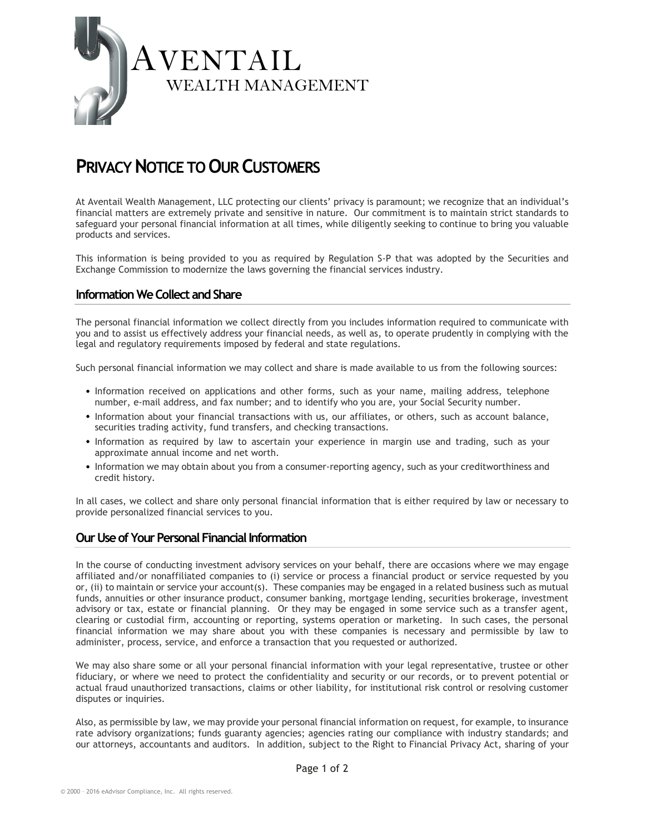

# **PRIVACY NOTICE TO OUR CUSTOMERS**

At Aventail Wealth Management, LLC protecting our clients' privacy is paramount; we recognize that an individual's financial matters are extremely private and sensitive in nature. Our commitment is to maintain strict standards to safeguard your personal financial information at all times, while diligently seeking to continue to bring you valuable products and services.

This information is being provided to you as required by Regulation S-P that was adopted by the Securities and Exchange Commission to modernize the laws governing the financial services industry.

### **Information We Collect and Share**

The personal financial information we collect directly from you includes information required to communicate with you and to assist us effectively address your financial needs, as well as, to operate prudently in complying with the legal and regulatory requirements imposed by federal and state regulations.

Such personal financial information we may collect and share is made available to us from the following sources:

- Information received on applications and other forms, such as your name, mailing address, telephone number, e-mail address, and fax number; and to identify who you are, your Social Security number.
- Information about your financial transactions with us, our affiliates, or others, such as account balance, securities trading activity, fund transfers, and checking transactions.
- Information as required by law to ascertain your experience in margin use and trading, such as your approximate annual income and net worth.
- Information we may obtain about you from a consumer-reporting agency, such as your creditworthiness and credit history.

In all cases, we collect and share only personal financial information that is either required by law or necessary to provide personalized financial services to you.

#### **Our Use of Your Personal Financial Information**

In the course of conducting investment advisory services on your behalf, there are occasions where we may engage affiliated and/or nonaffiliated companies to (i) service or process a financial product or service requested by you or, (ii) to maintain or service your account(s). These companies may be engaged in a related business such as mutual funds, annuities or other insurance product, consumer banking, mortgage lending, securities brokerage, investment advisory or tax, estate or financial planning. Or they may be engaged in some service such as a transfer agent, clearing or custodial firm, accounting or reporting, systems operation or marketing. In such cases, the personal financial information we may share about you with these companies is necessary and permissible by law to administer, process, service, and enforce a transaction that you requested or authorized.

We may also share some or all your personal financial information with your legal representative, trustee or other fiduciary, or where we need to protect the confidentiality and security or our records, or to prevent potential or actual fraud unauthorized transactions, claims or other liability, for institutional risk control or resolving customer disputes or inquiries.

Also, as permissible by law, we may provide your personal financial information on request, for example, to insurance rate advisory organizations; funds guaranty agencies; agencies rating our compliance with industry standards; and our attorneys, accountants and auditors. In addition, subject to the Right to Financial Privacy Act, sharing of your